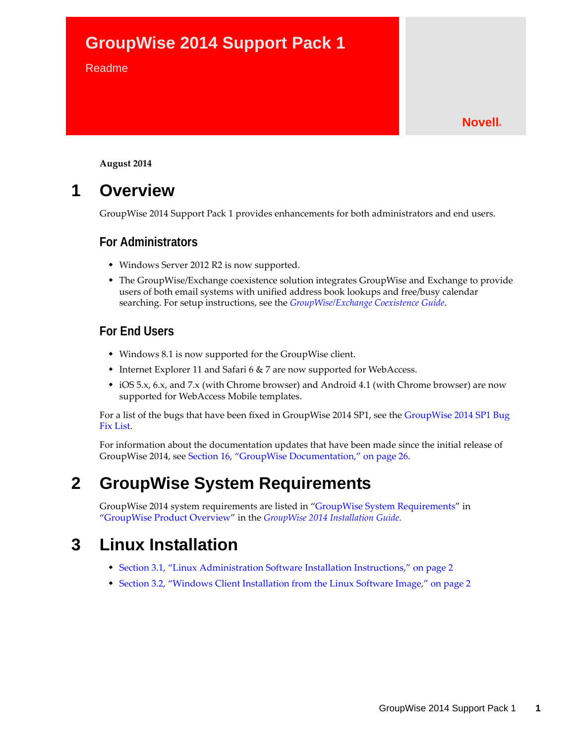# **GroupWise 2014 Support Pack 1**

#### Readme

#### **Novell®**

**August 2014**

# **1 Overview**

GroupWise 2014 Support Pack 1 provides enhancements for both administrators and end users.

### **For Administrators**

- Windows Server 2012 R2 is now supported.
- The GroupWise/Exchange coexistence solution integrates GroupWise and Exchange to provide [users of both email systems with unified address book lookups and free/busy calendar](http://www.novell.com/documentation/groupwise2014/pdfdoc/gw2014_guide_exchcoexist/gw2014_guide_exchcoexist.pdf#coexfront)  [searching. For setup instructions, see the](http://www.novell.com/documentation/groupwise2014/pdfdoc/gw2014_guide_exchcoexist/gw2014_guide_exchcoexist.pdf#coexfront) *GroupWise/Exchange Coexistence Guide*.

### **For End Users**

- Windows 8.1 is now supported for the GroupWise client.
- Internet Explorer 11 and Safari 6 & 7 are now supported for WebAccess.
- iOS 5.x, 6.x, and 7.x (with Chrome browser) and Android 4.1 (with Chrome browser) are now supported for WebAccess Mobile templates.

For a list of the bugs that have been fixed in GroupWise 2014 SP1, see the [GroupWise 2014 SP1 Bug](https://www.novell.com/documentation/groupwise2014/gw2014sp1_bugfixlist/data/gw2014sp1_bugfixlist.html)  [Fix List.](https://www.novell.com/documentation/groupwise2014/gw2014sp1_bugfixlist/data/gw2014sp1_bugfixlist.html)

For information about the documentation updates that have been made since the initial release of GroupWise 2014, see [Section 16, "GroupWise Documentation," on page 26.](#page-25-0)

# **2 GroupWise System Requirements**

[GroupWise 2014 s](http://www.novell.com/documentation/groupwise2014/pdfdoc/gw2014_guide_install/gw2014_guide_install.pdf#instfront)[ystem requirements are listed in "G](http://www.novell.com/documentation/groupwise2014/pdfdoc/gw2014_guide_install/gw2014_guide_install.pdf#instrequirements)roupWise System Requirements" in "GroupWise Product Overview" in the *GroupWise 2014 Installation Guide*.

# **3 Linux Installation**

- [Section 3.1, "Linux Administration Software Installation Instructions," on page 2](#page-1-0)
- [Section 3.2, "Windows Client Installation from the Linux Software Image," on page 2](#page-1-1)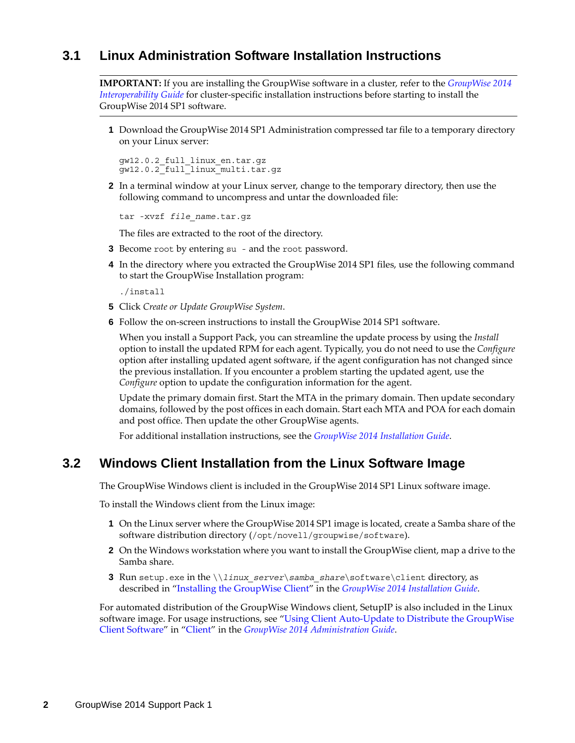# <span id="page-1-0"></span>**3.1 Linux Administration Software Installation Instructions**

**IMPORTANT:** If you are installing the GroupWise software in a cluster, refer to the *GroupWise 2014 Interoperability Guide* for cluster-specific installation instructions before starting to install the GroupWise 2014 SP1 software.

**1** Download the GroupWise 2014 SP1 Administration compressed tar file to a temporary directory on your Linux server:

gw12.0.2\_full\_linux\_en.tar.gz gw12.0.2\_full\_linux\_multi.tar.gz

**2** In a terminal window at your Linux server, change to the temporary directory, then use the following command to uncompress and untar the downloaded file:

tar -xvzf *file\_name*.tar.gz

The files are extracted to the root of the directory.

- **3** Become root by entering su and the root password.
- **4** In the directory where you extracted the GroupWise 2014 SP1 files, use the following command to start the GroupWise Installation program:

./install

- **5** Click *Create or Update GroupWise System*.
- **6** Follow the on-screen instructions to install the GroupWise 2014 SP1 software.

When you install a Support Pack, you can streamline the update process by using the *Install* option to install the updated RPM for each agent. Typically, you do not need to use the *Configure* option after installing updated agent software, if the agent configuration has not changed since the previous installation. If you encounter a problem starting the updated agent, use the *Configure* option to update the configuration information for the agent.

Update the primary domain first. Start the MTA in the primary domain. Then update secondary domains, followed by the post offices in each domain. Start each MTA and POA for each domain and post office. Then update the other GroupWise agents.

For additional installation instructions, see the *GroupWise 2014 Installation Guide*.

### <span id="page-1-1"></span>**3.2 Windows Client Installation from the Linux Software Image**

The GroupWise Windows client is included in the GroupWise 2014 SP1 Linux software image.

To install the Windows client from the Linux image:

- **1** On the Linux server where the GroupWise 2014 SP1 image is located, create a Samba share of the software distribution directory (/opt/novell/groupwise/software).
- **2** On the Windows workstation where you want to install the GroupWise client, map a drive to the Samba share.
- **3** Run [setup.exe](http://www.novell.com/documentation/groupwise2014/pdfdoc/gw2014_guide_install/gw2014_guide_install.pdf#instfront) in the \\*linux\_server*\*samba\_share*\software\client directory, as described in "[Installing the GroupWise Client](http://www.novell.com/documentation/groupwise2014/pdfdoc/gw2014_guide_install/gw2014_guide_install.pdf#installclient)" in the *GroupWise 2014 Installation Guide*.

[For automated distribution of the GroupWise Windows client, SetupIP is also included in the Linux](http://www.novell.com/documentation/groupwise2014/pdfdoc/gw2014_guide_admin/gw2014_guide_admin.pdf#adminclient)  [software image. For usage instructions, see "U](http://www.novell.com/documentation/groupwise2014/pdfdoc/gw2014_guide_admin/gw2014_guide_admin.pdf#adminclient)sing Client Auto-Update to Distribute the GroupWise Client Software" in "Client" in the *GroupWise 2014 Administration Guide*.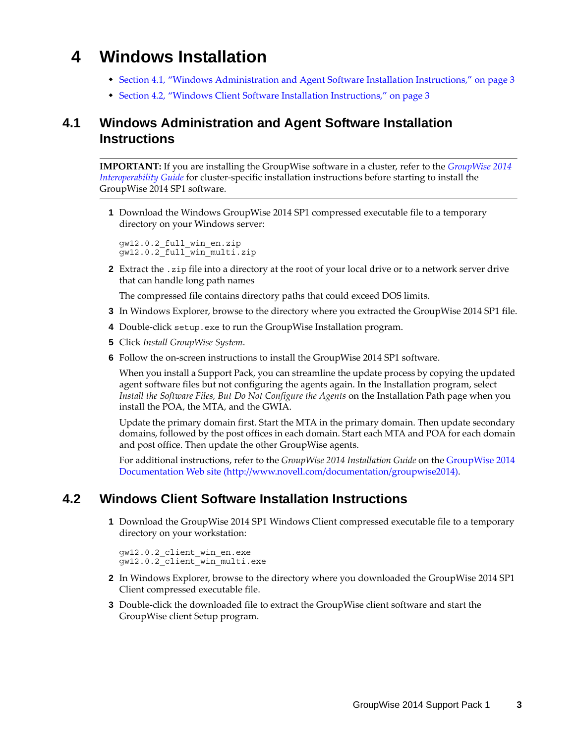# **4 Windows Installation**

- [Section 4.1, "Windows Administration and Agent Software Installation Instructions," on page 3](#page-2-0)
- [Section 4.2, "Windows Client Software Installation Instructions," on page 3](#page-2-1)

# <span id="page-2-0"></span>**4.1 Windows Administration and Agent Software Installation Instructions**

**IMPORTANT:** If you are installing the GroupWise software in a cluster, refer to the *GroupWise 2014 Interoperability Guide* for cluster-specific installation instructions before starting to install the GroupWise 2014 SP1 software.

**1** Download the Windows GroupWise 2014 SP1 compressed executable file to a temporary directory on your Windows server:

```
gw12.0.2_full_win_en.zip
gw12.0.2_full_win_multi.zip
```
**2** Extract the .zip file into a directory at the root of your local drive or to a network server drive that can handle long path names

The compressed file contains directory paths that could exceed DOS limits.

- **3** In Windows Explorer, browse to the directory where you extracted the GroupWise 2014 SP1 file.
- **4** Double-click setup.exe to run the GroupWise Installation program.
- **5** Click *Install GroupWise System*.
- **6** Follow the on-screen instructions to install the GroupWise 2014 SP1 software.

When you install a Support Pack, you can streamline the update process by copying the updated agent software files but not configuring the agents again. In the Installation program, select *Install the Software Files, But Do Not Configure the Agents* on the Installation Path page when you install the POA, the MTA, and the GWIA.

Update the primary domain first. Start the MTA in the primary domain. Then update secondary domains, followed by the post offices in each domain. Start each MTA and POA for each domain and post office. Then update the other GroupWise agents.

For additional instructions, refer to the *GroupWise 2014 Installation Guide* on the [GroupWise 2014](http://www.novell.com/documentation/groupwise2014)  [Documentation Web site](http://www.novell.com/documentation/groupwise2014) (http://www.novell.com/documentation/groupwise2014).

## <span id="page-2-1"></span>**4.2 Windows Client Software Installation Instructions**

**1** Download the GroupWise 2014 SP1 Windows Client compressed executable file to a temporary directory on your workstation:

```
gw12.0.2_client_win_en.exe
gw12.0.2_client_win_multi.exe
```
- **2** In Windows Explorer, browse to the directory where you downloaded the GroupWise 2014 SP1 Client compressed executable file.
- **3** Double-click the downloaded file to extract the GroupWise client software and start the GroupWise client Setup program.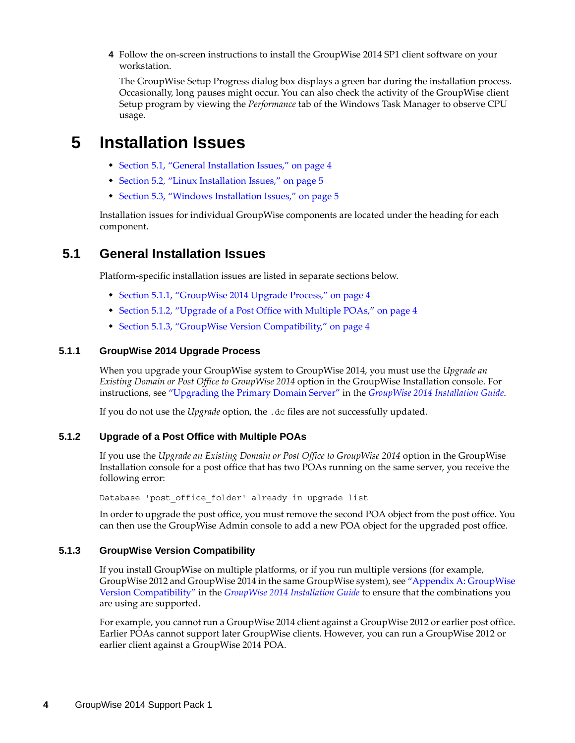**4** Follow the on-screen instructions to install the GroupWise 2014 SP1 client software on your workstation.

The GroupWise Setup Progress dialog box displays a green bar during the installation process. Occasionally, long pauses might occur. You can also check the activity of the GroupWise client Setup program by viewing the *Performance* tab of the Windows Task Manager to observe CPU usage.

# **5 Installation Issues**

- [Section 5.1, "General Installation Issues," on page 4](#page-3-0)
- [Section 5.2, "Linux Installation Issues," on page 5](#page-4-0)
- [Section 5.3, "Windows Installation Issues," on page 5](#page-4-1)

Installation issues for individual GroupWise components are located under the heading for each component.

# <span id="page-3-0"></span>**5.1 General Installation Issues**

Platform-specific installation issues are listed in separate sections below.

- [Section 5.1.1, "GroupWise 2014 Upgrade Process," on page 4](#page-3-1)
- [Section 5.1.2, "Upgrade of a Post Office with Multiple POAs," on page 4](#page-3-2)
- [Section 5.1.3, "GroupWise Version Compatibility," on page 4](#page-3-3)

#### <span id="page-3-1"></span>**5.1.1 GroupWise 2014 Upgrade Process**

When you upgrade your GroupWise system to GroupWise 2014, you must use the *Upgrade an Existing Domain or Post Office to GroupWise 2014* option in the GroupWise Installation console. For instructions, see "[Upgrading the Primary Domain Server](https://www.novell.com/documentation/groupwise2014/gw2014_guide_install/data/inst_upgrade_primary_domain.html)" in the *[GroupWise 2014 Installation Guide](https://www.novell.com/documentation/groupwise2014/gw2014_guide_install/data/inst_front.html)*.

If you do not use the *Upgrade* option, the .dc files are not successfully updated.

#### <span id="page-3-2"></span>**5.1.2 Upgrade of a Post Office with Multiple POAs**

If you use the *Upgrade an Existing Domain or Post Office to GroupWise 2014* option in the GroupWise Installation console for a post office that has two POAs running on the same server, you receive the following error:

Database 'post office folder' already in upgrade list

In order to upgrade the post office, you must remove the second POA object from the post office. You can then use the GroupWise Admin console to add a new POA object for the upgraded post office.

#### <span id="page-3-3"></span>**5.1.3 GroupWise Version Compatibility**

If you install GroupWise on multiple platforms, or if you run multiple versions (for example, GroupWise 2012 and GroupWise 2014 in the same GroupWise system), see ["Appendix A: GroupWise](https://www.novell.com/documentation/groupwise2014/gw2014_guide_install/data/inst_appdnx_version_compatibility.html)  [Version Compatibility"](https://www.novell.com/documentation/groupwise2014/gw2014_guide_install/data/inst_appdnx_version_compatibility.html) in the *[GroupWise 2014 Installation Guide](https://www.novell.com/documentation/groupwise2014/gw2014_guide_install/data/inst_front.html)* to ensure that the combinations you are using are supported.

For example, you cannot run a GroupWise 2014 client against a GroupWise 2012 or earlier post office. Earlier POAs cannot support later GroupWise clients. However, you can run a GroupWise 2012 or earlier client against a GroupWise 2014 POA.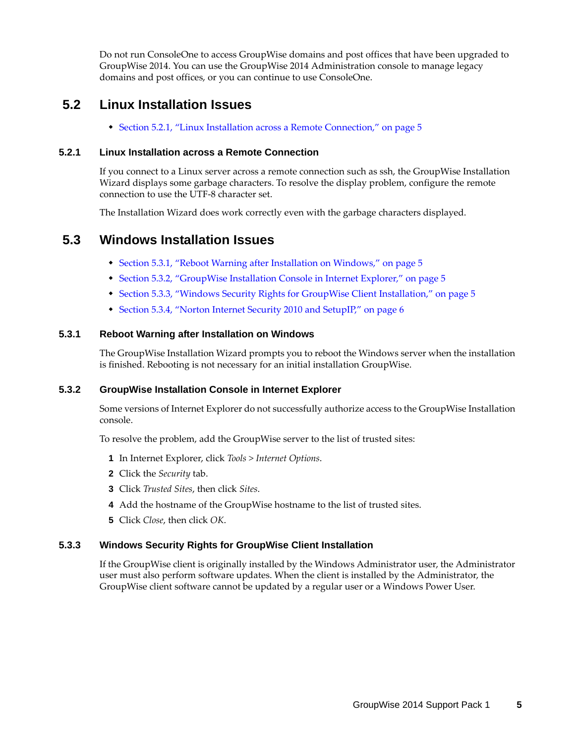Do not run ConsoleOne to access GroupWise domains and post offices that have been upgraded to GroupWise 2014. You can use the GroupWise 2014 Administration console to manage legacy domains and post offices, or you can continue to use ConsoleOne.

# <span id="page-4-0"></span>**5.2 Linux Installation Issues**

[Section 5.2.1, "Linux Installation across a Remote Connection," on page 5](#page-4-2)

#### <span id="page-4-2"></span>**5.2.1 Linux Installation across a Remote Connection**

If you connect to a Linux server across a remote connection such as ssh, the GroupWise Installation Wizard displays some garbage characters. To resolve the display problem, configure the remote connection to use the UTF-8 character set.

The Installation Wizard does work correctly even with the garbage characters displayed.

## <span id="page-4-1"></span>**5.3 Windows Installation Issues**

- [Section 5.3.1, "Reboot Warning after Installation on Windows," on page 5](#page-4-3)
- [Section 5.3.2, "GroupWise Installation Console in Internet Explorer," on page 5](#page-4-4)
- [Section 5.3.3, "Windows Security Rights for GroupWise Client Installation," on page 5](#page-4-5)
- [Section 5.3.4, "Norton Internet Security 2010 and SetupIP," on page 6](#page-5-0)

#### <span id="page-4-3"></span>**5.3.1 Reboot Warning after Installation on Windows**

The GroupWise Installation Wizard prompts you to reboot the Windows server when the installation is finished. Rebooting is not necessary for an initial installation GroupWise.

#### <span id="page-4-4"></span>**5.3.2 GroupWise Installation Console in Internet Explorer**

Some versions of Internet Explorer do not successfully authorize access to the GroupWise Installation console.

To resolve the problem, add the GroupWise server to the list of trusted sites:

- **1** In Internet Explorer, click *Tools > Internet Options*.
- **2** Click the *Security* tab.
- **3** Click *Trusted Sites*, then click *Sites*.
- **4** Add the hostname of the GroupWise hostname to the list of trusted sites.
- **5** Click *Close*, then click *OK*.

#### <span id="page-4-5"></span>**5.3.3 Windows Security Rights for GroupWise Client Installation**

If the GroupWise client is originally installed by the Windows Administrator user, the Administrator user must also perform software updates. When the client is installed by the Administrator, the GroupWise client software cannot be updated by a regular user or a Windows Power User.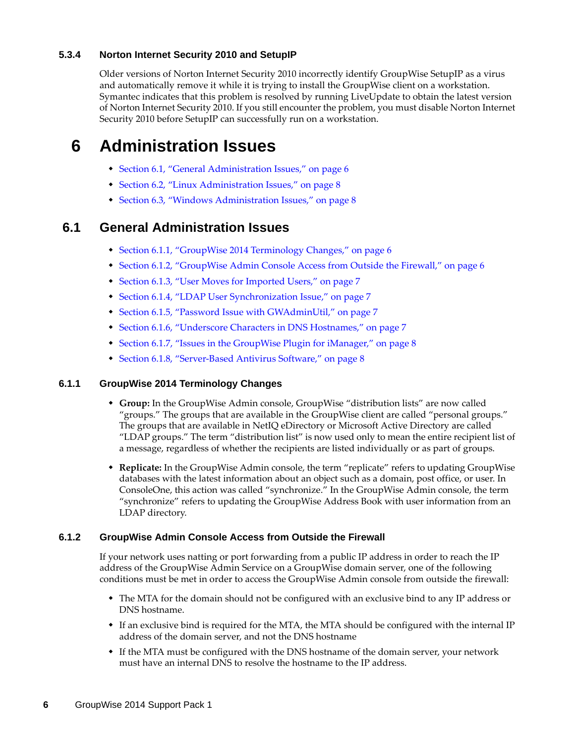#### <span id="page-5-0"></span>**5.3.4 Norton Internet Security 2010 and SetupIP**

Older versions of Norton Internet Security 2010 incorrectly identify GroupWise SetupIP as a virus and automatically remove it while it is trying to install the GroupWise client on a workstation. Symantec indicates that this problem is resolved by running LiveUpdate to obtain the latest version of Norton Internet Security 2010. If you still encounter the problem, you must disable Norton Internet Security 2010 before SetupIP can successfully run on a workstation.

# **6 Administration Issues**

- [Section 6.1, "General Administration Issues," on page 6](#page-5-1)
- [Section 6.2, "Linux Administration Issues," on page 8](#page-7-0)
- [Section 6.3, "Windows Administration Issues," on page 8](#page-7-1)

## <span id="page-5-1"></span>**6.1 General Administration Issues**

- [Section 6.1.1, "GroupWise 2014 Terminology Changes," on page 6](#page-5-2)
- [Section 6.1.2, "GroupWise Admin Console Access from Outside the Firewall," on page 6](#page-5-3)
- [Section 6.1.3, "User Moves for Imported Users," on page 7](#page-6-0)
- [Section 6.1.4, "LDAP User Synchronization Issue," on page 7](#page-6-1)
- [Section 6.1.5, "Password Issue with GWAdminUtil," on page 7](#page-6-2)
- [Section 6.1.6, "Underscore Characters in DNS Hostnames," on page 7](#page-6-3)
- [Section 6.1.7, "Issues in the GroupWise Plugin for iManager," on page 8](#page-7-2)
- [Section 6.1.8, "Server-Based Antivirus Software," on page 8](#page-7-3)

#### <span id="page-5-2"></span>**6.1.1 GroupWise 2014 Terminology Changes**

- **Group:** In the GroupWise Admin console, GroupWise "distribution lists" are now called "groups." The groups that are available in the GroupWise client are called "personal groups." The groups that are available in NetIQ eDirectory or Microsoft Active Directory are called "LDAP groups." The term "distribution list" is now used only to mean the entire recipient list of a message, regardless of whether the recipients are listed individually or as part of groups.
- **Replicate:** In the GroupWise Admin console, the term "replicate" refers to updating GroupWise databases with the latest information about an object such as a domain, post office, or user. In ConsoleOne, this action was called "synchronize." In the GroupWise Admin console, the term "synchronize" refers to updating the GroupWise Address Book with user information from an LDAP directory.

#### <span id="page-5-3"></span>**6.1.2 GroupWise Admin Console Access from Outside the Firewall**

If your network uses natting or port forwarding from a public IP address in order to reach the IP address of the GroupWise Admin Service on a GroupWise domain server, one of the following conditions must be met in order to access the GroupWise Admin console from outside the firewall:

- The MTA for the domain should not be configured with an exclusive bind to any IP address or DNS hostname.
- If an exclusive bind is required for the MTA, the MTA should be configured with the internal IP address of the domain server, and not the DNS hostname
- If the MTA must be configured with the DNS hostname of the domain server, your network must have an internal DNS to resolve the hostname to the IP address.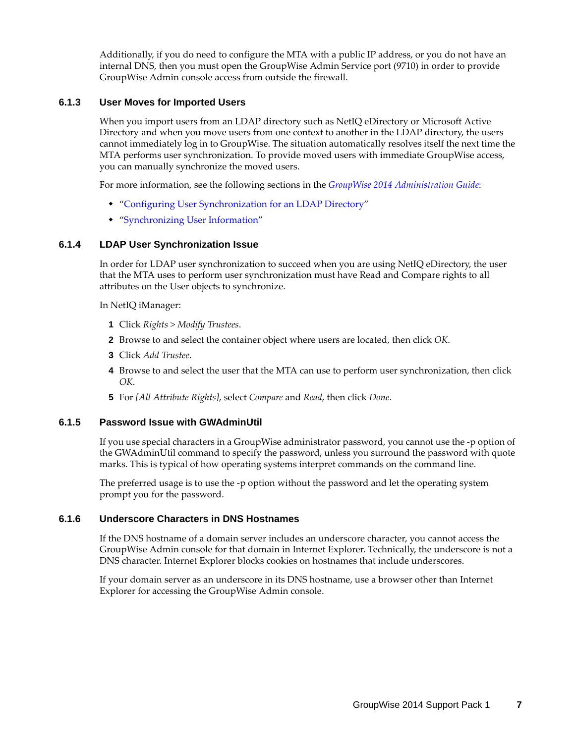Additionally, if you do need to configure the MTA with a public IP address, or you do not have an internal DNS, then you must open the GroupWise Admin Service port (9710) in order to provide GroupWise Admin console access from outside the firewall.

#### <span id="page-6-0"></span>**6.1.3 User Moves for Imported Users**

When you import users from an LDAP directory such as NetIQ eDirectory or Microsoft Active Directory and when you move users from one context to another in the LDAP directory, the users cannot immediately log in to GroupWise. The situation automatically resolves itself the next time the MTA performs user synchronization. To provide moved users with immediate GroupWise access, you can manually synchronize the moved users.

For more information, see the following sections in the *[GroupWise 2014 Administration Guide](http://www.novell.com/documentation/groupwise2014/pdfdoc/gw2014_guide_admin/gw2014_guide_admin.pdf#adminfront)*:

- ["Configuring User Synchronization for an LDAP Directory"](http://www.novell.com/documentation/groupwise2014/pdfdoc/gw2014_guide_admin/gw2014_guide_admin.pdf#b19hch7g)
- "[Synchronizing User Information](http://www.novell.com/documentation/groupwise2014/pdfdoc/gw2014_guide_admin/gw2014_guide_admin.pdf#admusermgtsync)"

#### <span id="page-6-1"></span>**6.1.4 LDAP User Synchronization Issue**

In order for LDAP user synchronization to succeed when you are using NetIQ eDirectory, the user that the MTA uses to perform user synchronization must have Read and Compare rights to all attributes on the User objects to synchronize.

In NetIQ iManager:

- **1** Click *Rights > Modify Trustees*.
- **2** Browse to and select the container object where users are located, then click *OK*.
- **3** Click *Add Trustee*.
- **4** Browse to and select the user that the MTA can use to perform user synchronization, then click *OK*.
- **5** For *[All Attribute Rights]*, select *Compare* and *Read*, then click *Done*.

#### <span id="page-6-2"></span>**6.1.5 Password Issue with GWAdminUtil**

If you use special characters in a GroupWise administrator password, you cannot use the -p option of the GWAdminUtil command to specify the password, unless you surround the password with quote marks. This is typical of how operating systems interpret commands on the command line.

The preferred usage is to use the -p option without the password and let the operating system prompt you for the password.

#### <span id="page-6-3"></span>**6.1.6 Underscore Characters in DNS Hostnames**

If the DNS hostname of a domain server includes an underscore character, you cannot access the GroupWise Admin console for that domain in Internet Explorer. Technically, the underscore is not a DNS character. Internet Explorer blocks cookies on hostnames that include underscores.

If your domain server as an underscore in its DNS hostname, use a browser other than Internet Explorer for accessing the GroupWise Admin console.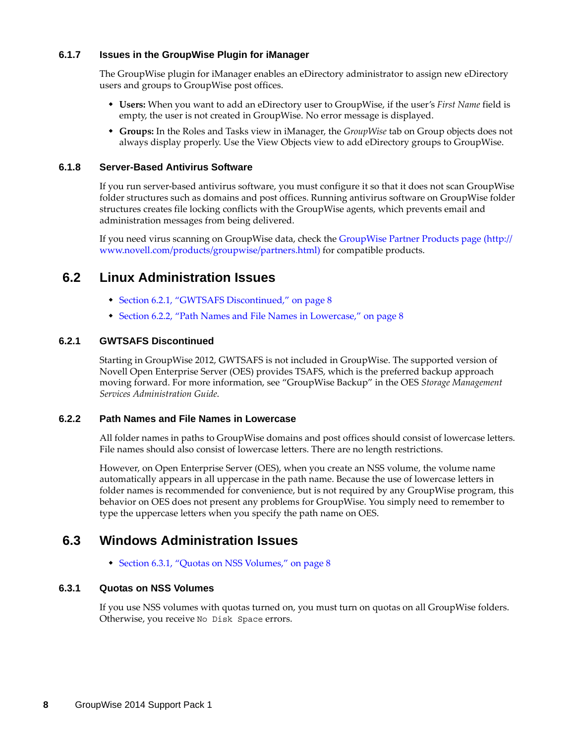#### <span id="page-7-2"></span>**6.1.7 Issues in the GroupWise Plugin for iManager**

The GroupWise plugin for iManager enables an eDirectory administrator to assign new eDirectory users and groups to GroupWise post offices.

- **Users:** When you want to add an eDirectory user to GroupWise, if the user's *First Name* field is empty, the user is not created in GroupWise. No error message is displayed.
- **Groups:** In the Roles and Tasks view in iManager, the *GroupWise* tab on Group objects does not always display properly. Use the View Objects view to add eDirectory groups to GroupWise.

#### <span id="page-7-3"></span>**6.1.8 Server-Based Antivirus Software**

If you run server-based antivirus software, you must configure it so that it does not scan GroupWise folder structures such as domains and post offices. Running antivirus software on GroupWise folder structures creates file locking conflicts with the GroupWise agents, which prevents email and administration messages from being delivered.

If you need virus scanning on GroupWise data, check the [GroupWise Partner Products page](http://www.novell.com/products/groupwise/partners.html) (http:// www.novell.com/products/groupwise/partners.html) for compatible products.

## <span id="page-7-0"></span>**6.2 Linux Administration Issues**

- [Section 6.2.1, "GWTSAFS Discontinued," on page 8](#page-7-4)
- [Section 6.2.2, "Path Names and File Names in Lowercase," on page 8](#page-7-5)

#### <span id="page-7-4"></span>**6.2.1 GWTSAFS Discontinued**

Starting in GroupWise 2012, GWTSAFS is not included in GroupWise. The supported version of Novell Open Enterprise Server (OES) provides TSAFS, which is the preferred backup approach moving forward. For more information, see "GroupWise Backup" in the OES *Storage Management Services Administration Guide*.

#### <span id="page-7-5"></span>**6.2.2 Path Names and File Names in Lowercase**

All folder names in paths to GroupWise domains and post offices should consist of lowercase letters. File names should also consist of lowercase letters. There are no length restrictions.

However, on Open Enterprise Server (OES), when you create an NSS volume, the volume name automatically appears in all uppercase in the path name. Because the use of lowercase letters in folder names is recommended for convenience, but is not required by any GroupWise program, this behavior on OES does not present any problems for GroupWise. You simply need to remember to type the uppercase letters when you specify the path name on OES.

### <span id="page-7-1"></span>**6.3 Windows Administration Issues**

• [Section 6.3.1, "Quotas on NSS Volumes," on page 8](#page-7-6)

#### <span id="page-7-6"></span>**6.3.1 Quotas on NSS Volumes**

If you use NSS volumes with quotas turned on, you must turn on quotas on all GroupWise folders. Otherwise, you receive No Disk Space errors.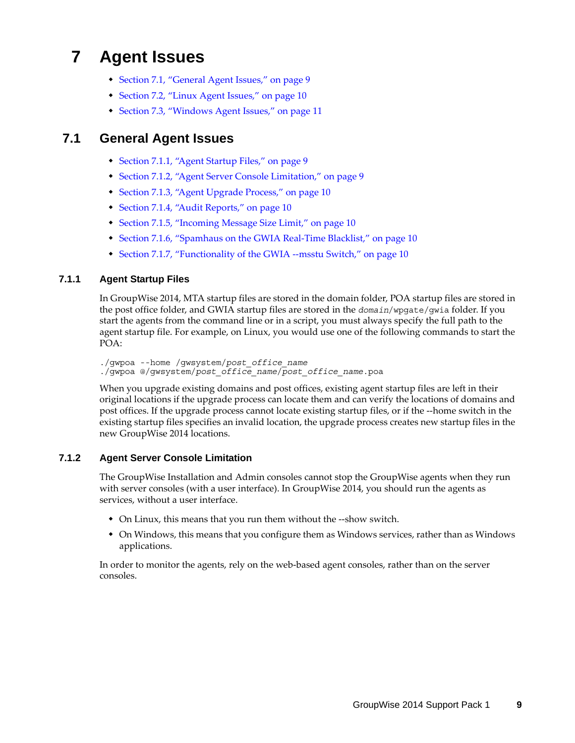# **7 Agent Issues**

- [Section 7.1, "General Agent Issues," on page 9](#page-8-0)
- [Section 7.2, "Linux Agent Issues," on page 10](#page-9-0)
- [Section 7.3, "Windows Agent Issues," on page 11](#page-10-0)

# <span id="page-8-0"></span>**7.1 General Agent Issues**

- [Section 7.1.1, "Agent Startup Files," on page 9](#page-8-1)
- [Section 7.1.2, "Agent Server Console Limitation," on page 9](#page-8-2)
- [Section 7.1.3, "Agent Upgrade Process," on page 10](#page-9-1)
- [Section 7.1.4, "Audit Reports," on page 10](#page-9-2)
- [Section 7.1.5, "Incoming Message Size Limit," on page 10](#page-9-3)
- [Section 7.1.6, "Spamhaus on the GWIA Real-Time Blacklist," on page 10](#page-9-4)
- [Section 7.1.7, "Functionality of the GWIA --msstu Switch," on page 10](#page-9-5)

#### <span id="page-8-1"></span>**7.1.1 Agent Startup Files**

In GroupWise 2014, MTA startup files are stored in the domain folder, POA startup files are stored in the post office folder, and GWIA startup files are stored in the *domain*/wpgate/gwia folder. If you start the agents from the command line or in a script, you must always specify the full path to the agent startup file. For example, on Linux, you would use one of the following commands to start the POA:

./gwpoa --home /gwsystem/*post\_office\_name* ./gwpoa @/gwsystem/*post\_office\_name*/*post\_office\_name*.poa

When you upgrade existing domains and post offices, existing agent startup files are left in their original locations if the upgrade process can locate them and can verify the locations of domains and post offices. If the upgrade process cannot locate existing startup files, or if the --home switch in the existing startup files specifies an invalid location, the upgrade process creates new startup files in the new GroupWise 2014 locations.

#### <span id="page-8-2"></span>**7.1.2 Agent Server Console Limitation**

The GroupWise Installation and Admin consoles cannot stop the GroupWise agents when they run with server consoles (with a user interface). In GroupWise 2014, you should run the agents as services, without a user interface.

- On Linux, this means that you run them without the --show switch.
- On Windows, this means that you configure them as Windows services, rather than as Windows applications.

In order to monitor the agents, rely on the web-based agent consoles, rather than on the server consoles.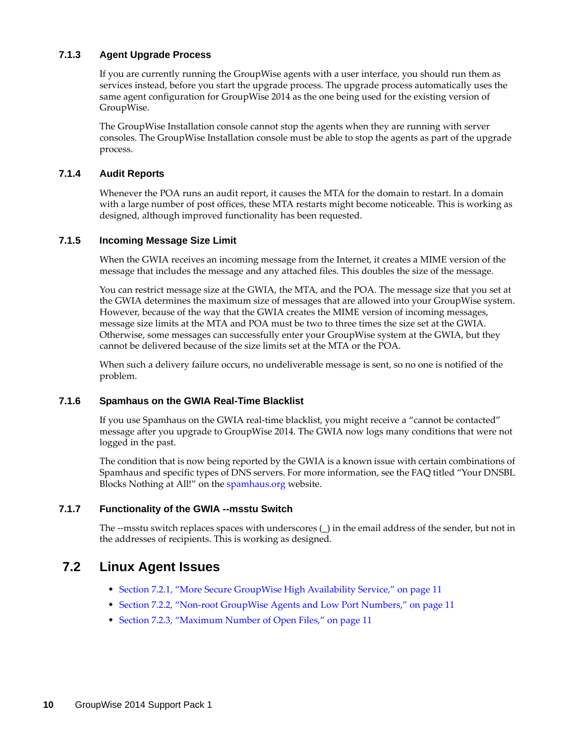#### <span id="page-9-1"></span>**7.1.3 Agent Upgrade Process**

If you are currently running the GroupWise agents with a user interface, you should run them as services instead, before you start the upgrade process. The upgrade process automatically uses the same agent configuration for GroupWise 2014 as the one being used for the existing version of GroupWise.

The GroupWise Installation console cannot stop the agents when they are running with server consoles. The GroupWise Installation console must be able to stop the agents as part of the upgrade process.

#### <span id="page-9-2"></span>**7.1.4 Audit Reports**

Whenever the POA runs an audit report, it causes the MTA for the domain to restart. In a domain with a large number of post offices, these MTA restarts might become noticeable. This is working as designed, although improved functionality has been requested.

#### <span id="page-9-3"></span>**7.1.5 Incoming Message Size Limit**

When the GWIA receives an incoming message from the Internet, it creates a MIME version of the message that includes the message and any attached files. This doubles the size of the message.

You can restrict message size at the GWIA, the MTA, and the POA. The message size that you set at the GWIA determines the maximum size of messages that are allowed into your GroupWise system. However, because of the way that the GWIA creates the MIME version of incoming messages, message size limits at the MTA and POA must be two to three times the size set at the GWIA. Otherwise, some messages can successfully enter your GroupWise system at the GWIA, but they cannot be delivered because of the size limits set at the MTA or the POA.

When such a delivery failure occurs, no undeliverable message is sent, so no one is notified of the problem.

#### <span id="page-9-4"></span>**7.1.6 Spamhaus on the GWIA Real-Time Blacklist**

If you use Spamhaus on the GWIA real-time blacklist, you might receive a "cannot be contacted" message after you upgrade to GroupWise 2014. The GWIA now logs many conditions that were not logged in the past.

The condition that is now being reported by the GWIA is a known issue with certain combinations of Spamhaus and specific types of DNS servers. For more information, see the FAQ titled "Your DNSBL Blocks Nothing at All!" on the [spamhaus.org](http://www.spamhaus.org) website.

#### <span id="page-9-5"></span>**7.1.7 Functionality of the GWIA --msstu Switch**

The --msstu switch replaces spaces with underscores (\_) in the email address of the sender, but not in the addresses of recipients. This is working as designed.

### <span id="page-9-0"></span>**7.2 Linux Agent Issues**

- [Section 7.2.1, "More Secure GroupWise High Availability Service," on page 11](#page-10-1)
- [Section 7.2.2, "Non-root GroupWise Agents and Low Port Numbers," on page 11](#page-10-2)
- [Section 7.2.3, "Maximum Number of Open Files," on page 11](#page-10-3)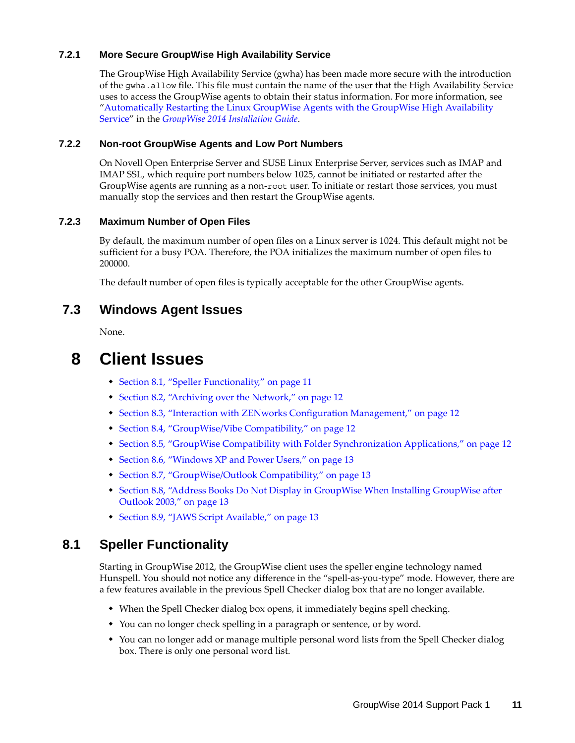#### <span id="page-10-1"></span>**7.2.1 More Secure GroupWise High Availability Service**

The GroupWise High Availability Service (gwha) has been made more secure with the introduction of the gwha.allow file. This file must contain the name of the user that the High Availability Service uses to access the GroupWise agents to obtain their status information. For more information, see "[Automatically Restarting the Linux GroupWise Agents with the GroupWise High Availability](http://www.novell.com/documentation/groupwise2014/pdfdoc/gw2014_guide_install/gw2014_guide_install.pdf#instcreateagentslinuxgwha)  [Service"](http://www.novell.com/documentation/groupwise2014/pdfdoc/gw2014_guide_install/gw2014_guide_install.pdf#instcreateagentslinuxgwha) in the *[GroupWise 2014 Installation Guide](http://www.novell.com/documentation/groupwise2014/pdfdoc/gw2014_guide_install/gw2014_guide_install.pdf#instfront)*.

#### <span id="page-10-2"></span>**7.2.2 Non-root GroupWise Agents and Low Port Numbers**

On Novell Open Enterprise Server and SUSE Linux Enterprise Server, services such as IMAP and IMAP SSL, which require port numbers below 1025, cannot be initiated or restarted after the GroupWise agents are running as a non-root user. To initiate or restart those services, you must manually stop the services and then restart the GroupWise agents.

#### <span id="page-10-3"></span>**7.2.3 Maximum Number of Open Files**

By default, the maximum number of open files on a Linux server is 1024. This default might not be sufficient for a busy POA. Therefore, the POA initializes the maximum number of open files to 200000.

The default number of open files is typically acceptable for the other GroupWise agents.

### <span id="page-10-0"></span>**7.3 Windows Agent Issues**

None.

# **8 Client Issues**

- [Section 8.1, "Speller Functionality," on page 11](#page-10-4)
- [Section 8.2, "Archiving over the Network," on page 12](#page-11-0)
- [Section 8.3, "Interaction with ZENworks Configuration Management," on page 12](#page-11-1)
- [Section 8.4, "GroupWise/Vibe Compatibility," on page 12](#page-11-2)
- [Section 8.5, "GroupWise Compatibility with Folder Synchronization Applications," on page 12](#page-11-3)
- [Section 8.6, "Windows XP and Power Users," on page 13](#page-12-0)
- [Section 8.7, "GroupWise/Outlook Compatibility," on page 13](#page-12-1)
- [Section 8.8, "Address Books Do Not Display in GroupWise When Installing GroupWise after](#page-12-2)  [Outlook 2003," on page 13](#page-12-2)
- [Section 8.9, "JAWS Script Available," on page 13](#page-12-3)

### <span id="page-10-4"></span>**8.1 Speller Functionality**

Starting in GroupWise 2012, the GroupWise client uses the speller engine technology named Hunspell. You should not notice any difference in the "spell-as-you-type" mode. However, there are a few features available in the previous Spell Checker dialog box that are no longer available.

- When the Spell Checker dialog box opens, it immediately begins spell checking.
- You can no longer check spelling in a paragraph or sentence, or by word.
- You can no longer add or manage multiple personal word lists from the Spell Checker dialog box. There is only one personal word list.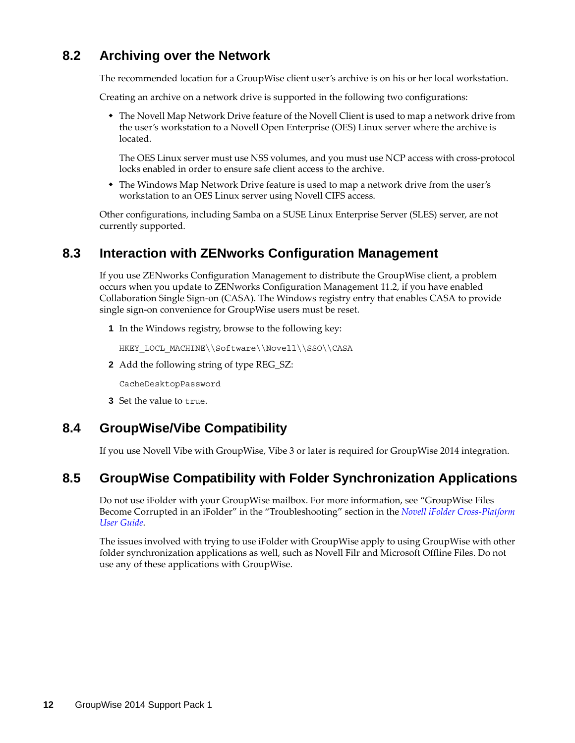# <span id="page-11-0"></span>**8.2 Archiving over the Network**

The recommended location for a GroupWise client user's archive is on his or her local workstation.

Creating an archive on a network drive is supported in the following two configurations:

• The Novell Map Network Drive feature of the Novell Client is used to map a network drive from the user's workstation to a Novell Open Enterprise (OES) Linux server where the archive is located.

The OES Linux server must use NSS volumes, and you must use NCP access with cross-protocol locks enabled in order to ensure safe client access to the archive.

• The Windows Map Network Drive feature is used to map a network drive from the user's workstation to an OES Linux server using Novell CIFS access.

Other configurations, including Samba on a SUSE Linux Enterprise Server (SLES) server, are not currently supported.

# <span id="page-11-1"></span>**8.3 Interaction with ZENworks Configuration Management**

If you use ZENworks Configuration Management to distribute the GroupWise client, a problem occurs when you update to ZENworks Configuration Management 11.2, if you have enabled Collaboration Single Sign-on (CASA). The Windows registry entry that enables CASA to provide single sign-on convenience for GroupWise users must be reset.

**1** In the Windows registry, browse to the following key:

HKEY\_LOCL\_MACHINE\\Software\\Novell\\SSO\\CASA

**2** Add the following string of type REG\_SZ:

CacheDesktopPassword

**3** Set the value to true.

# <span id="page-11-2"></span>**8.4 GroupWise/Vibe Compatibility**

If you use Novell Vibe with GroupWise, Vibe 3 or later is required for GroupWise 2014 integration.

## <span id="page-11-3"></span>**8.5 GroupWise Compatibility with Folder Synchronization Applications**

Do not use iFolder with your GroupWise mailbox. For more information, see "GroupWise Files Become Corrupted in an iFolder" in the "Troubleshooting" section in the *[Novell iFolder Cross-Platform](http://www.novell.com/documentation/ifolderos/os_ifolder37_user/data/bookinfo.html)  [User Guide](http://www.novell.com/documentation/ifolderos/os_ifolder37_user/data/bookinfo.html)*.

The issues involved with trying to use iFolder with GroupWise apply to using GroupWise with other folder synchronization applications as well, such as Novell Filr and Microsoft Offline Files. Do not use any of these applications with GroupWise.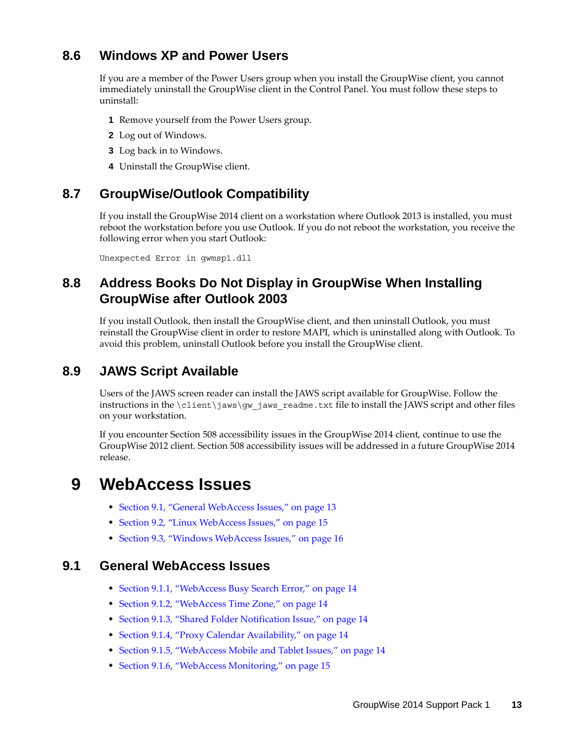# <span id="page-12-0"></span>**8.6 Windows XP and Power Users**

If you are a member of the Power Users group when you install the GroupWise client, you cannot immediately uninstall the GroupWise client in the Control Panel. You must follow these steps to uninstall:

- **1** Remove yourself from the Power Users group.
- **2** Log out of Windows.
- **3** Log back in to Windows.
- **4** Uninstall the GroupWise client.

## <span id="page-12-1"></span>**8.7 GroupWise/Outlook Compatibility**

If you install the GroupWise 2014 client on a workstation where Outlook 2013 is installed, you must reboot the workstation before you use Outlook. If you do not reboot the workstation, you receive the following error when you start Outlook:

Unexpected Error in gwmsp1.dll

# <span id="page-12-2"></span>**8.8 Address Books Do Not Display in GroupWise When Installing GroupWise after Outlook 2003**

If you install Outlook, then install the GroupWise client, and then uninstall Outlook, you must reinstall the GroupWise client in order to restore MAPI, which is uninstalled along with Outlook. To avoid this problem, uninstall Outlook before you install the GroupWise client.

# <span id="page-12-3"></span>**8.9 JAWS Script Available**

Users of the JAWS screen reader can install the JAWS script available for GroupWise. Follow the instructions in the  $\clap{\text{client}}jaws\gtrap{\text{gw}}jaws\text{ readme.txt}$  file to install the JAWS script and other files on your workstation.

If you encounter Section 508 accessibility issues in the GroupWise 2014 client, continue to use the GroupWise 2012 client. Section 508 accessibility issues will be addressed in a future GroupWise 2014 release.

# **9 WebAccess Issues**

- [Section 9.1, "General WebAccess Issues," on page 13](#page-12-4)
- [Section 9.2, "Linux WebAccess Issues," on page 15](#page-14-0)
- [Section 9.3, "Windows WebAccess Issues," on page 16](#page-15-0)

### <span id="page-12-4"></span>**9.1 General WebAccess Issues**

- [Section 9.1.1, "WebAccess Busy Search Error," on page 14](#page-13-0)
- [Section 9.1.2, "WebAccess Time Zone," on page 14](#page-13-1)
- [Section 9.1.3, "Shared Folder Notification Issue," on page 14](#page-13-2)
- [Section 9.1.4, "Proxy Calendar Availability," on page 14](#page-13-3)
- [Section 9.1.5, "WebAccess Mobile and Tablet Issues," on page 14](#page-13-4)
- [Section 9.1.6, "WebAccess Monitoring," on page 15](#page-14-1)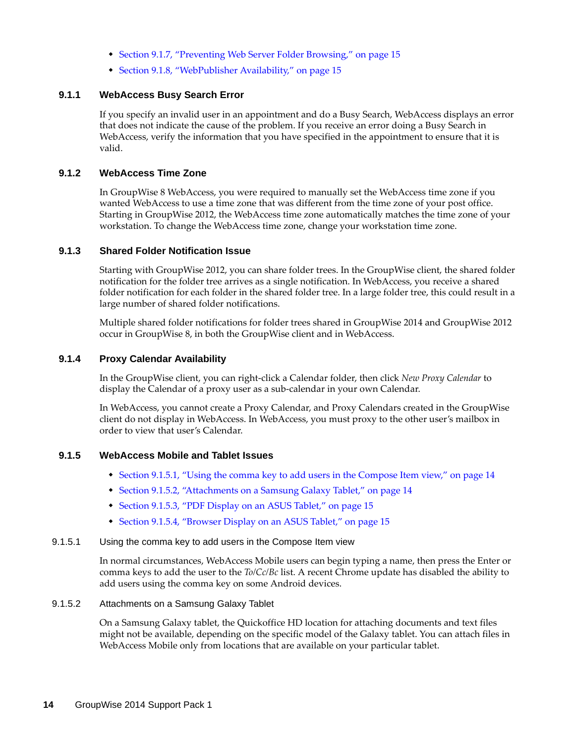- [Section 9.1.7, "Preventing Web Server Folder Browsing," on page 15](#page-14-2)
- [Section 9.1.8, "WebPublisher Availability," on page 15](#page-14-3)

#### <span id="page-13-0"></span>**9.1.1 WebAccess Busy Search Error**

If you specify an invalid user in an appointment and do a Busy Search, WebAccess displays an error that does not indicate the cause of the problem. If you receive an error doing a Busy Search in WebAccess, verify the information that you have specified in the appointment to ensure that it is valid.

#### <span id="page-13-1"></span>**9.1.2 WebAccess Time Zone**

In GroupWise 8 WebAccess, you were required to manually set the WebAccess time zone if you wanted WebAccess to use a time zone that was different from the time zone of your post office. Starting in GroupWise 2012, the WebAccess time zone automatically matches the time zone of your workstation. To change the WebAccess time zone, change your workstation time zone.

#### <span id="page-13-2"></span>**9.1.3 Shared Folder Notification Issue**

Starting with GroupWise 2012, you can share folder trees. In the GroupWise client, the shared folder notification for the folder tree arrives as a single notification. In WebAccess, you receive a shared folder notification for each folder in the shared folder tree. In a large folder tree, this could result in a large number of shared folder notifications.

Multiple shared folder notifications for folder trees shared in GroupWise 2014 and GroupWise 2012 occur in GroupWise 8, in both the GroupWise client and in WebAccess.

#### <span id="page-13-3"></span>**9.1.4 Proxy Calendar Availability**

In the GroupWise client, you can right-click a Calendar folder, then click *New Proxy Calendar* to display the Calendar of a proxy user as a sub-calendar in your own Calendar.

In WebAccess, you cannot create a Proxy Calendar, and Proxy Calendars created in the GroupWise client do not display in WebAccess. In WebAccess, you must proxy to the other user's mailbox in order to view that user's Calendar.

#### <span id="page-13-4"></span>**9.1.5 WebAccess Mobile and Tablet Issues**

- [Section 9.1.5.1, "Using the comma key to add users in the Compose Item view," on page 14](#page-13-5)
- [Section 9.1.5.2, "Attachments on a Samsung Galaxy Tablet," on page 14](#page-13-6)
- [Section 9.1.5.3, "PDF Display on an ASUS Tablet," on page 15](#page-14-4)
- [Section 9.1.5.4, "Browser Display on an ASUS Tablet," on page 15](#page-14-5)

#### <span id="page-13-5"></span>9.1.5.1 Using the comma key to add users in the Compose Item view

In normal circumstances, WebAccess Mobile users can begin typing a name, then press the Enter or comma keys to add the user to the *To/Cc/Bc* list. A recent Chrome update has disabled the ability to add users using the comma key on some Android devices.

#### <span id="page-13-6"></span>9.1.5.2 Attachments on a Samsung Galaxy Tablet

On a Samsung Galaxy tablet, the Quickoffice HD location for attaching documents and text files might not be available, depending on the specific model of the Galaxy tablet. You can attach files in WebAccess Mobile only from locations that are available on your particular tablet.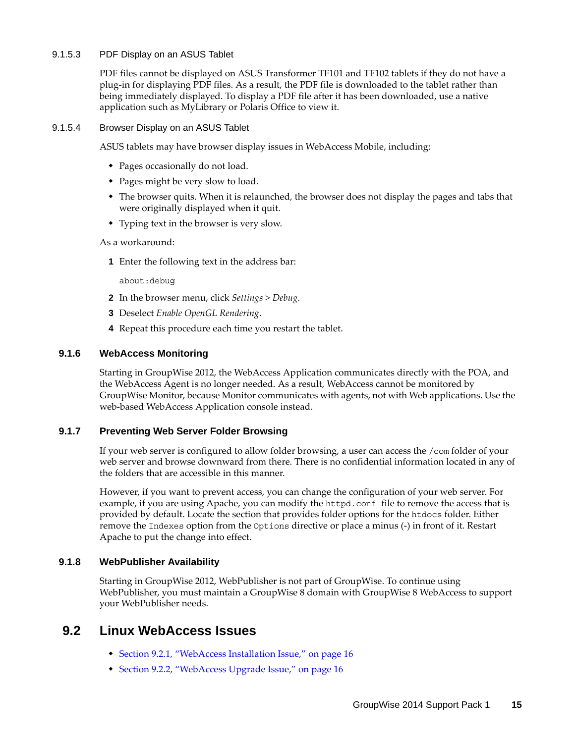#### <span id="page-14-4"></span>9.1.5.3 PDF Display on an ASUS Tablet

PDF files cannot be displayed on ASUS Transformer TF101 and TF102 tablets if they do not have a plug-in for displaying PDF files. As a result, the PDF file is downloaded to the tablet rather than being immediately displayed. To display a PDF file after it has been downloaded, use a native application such as MyLibrary or Polaris Office to view it.

#### <span id="page-14-5"></span>9.1.5.4 Browser Display on an ASUS Tablet

ASUS tablets may have browser display issues in WebAccess Mobile, including:

- Pages occasionally do not load.
- Pages might be very slow to load.
- The browser quits. When it is relaunched, the browser does not display the pages and tabs that were originally displayed when it quit.
- Typing text in the browser is very slow.

As a workaround:

**1** Enter the following text in the address bar:

about:debug

- **2** In the browser menu, click *Settings > Debug*.
- **3** Deselect *Enable OpenGL Rendering*.
- **4** Repeat this procedure each time you restart the tablet.

#### <span id="page-14-1"></span>**9.1.6 WebAccess Monitoring**

Starting in GroupWise 2012, the WebAccess Application communicates directly with the POA, and the WebAccess Agent is no longer needed. As a result, WebAccess cannot be monitored by GroupWise Monitor, because Monitor communicates with agents, not with Web applications. Use the web-based WebAccess Application console instead.

#### <span id="page-14-2"></span>**9.1.7 Preventing Web Server Folder Browsing**

If your web server is configured to allow folder browsing, a user can access the /com folder of your web server and browse downward from there. There is no confidential information located in any of the folders that are accessible in this manner.

However, if you want to prevent access, you can change the configuration of your web server. For example, if you are using Apache, you can modify the httpd.conf file to remove the access that is provided by default. Locate the section that provides folder options for the htdocs folder. Either remove the Indexes option from the Options directive or place a minus (-) in front of it. Restart Apache to put the change into effect.

#### <span id="page-14-3"></span>**9.1.8 WebPublisher Availability**

Starting in GroupWise 2012, WebPublisher is not part of GroupWise. To continue using WebPublisher, you must maintain a GroupWise 8 domain with GroupWise 8 WebAccess to support your WebPublisher needs.

## <span id="page-14-0"></span>**9.2 Linux WebAccess Issues**

- [Section 9.2.1, "WebAccess Installation Issue," on page 16](#page-15-1)
- [Section 9.2.2, "WebAccess Upgrade Issue," on page 16](#page-15-2)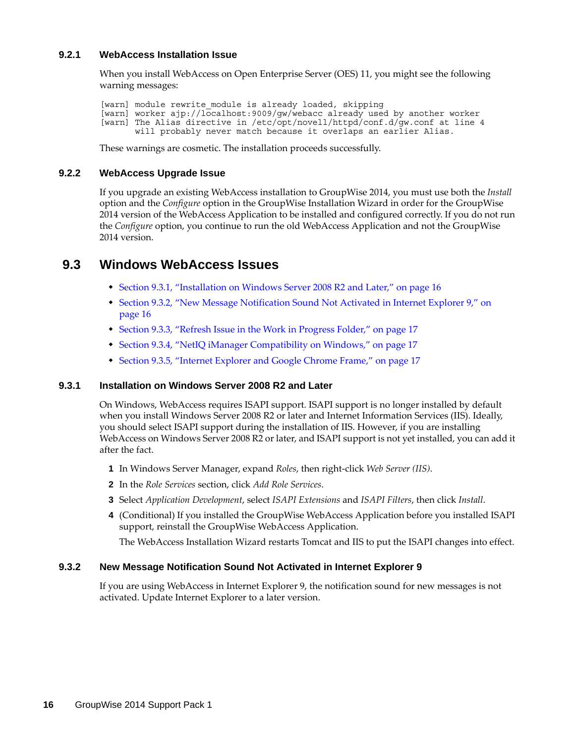#### <span id="page-15-1"></span>**9.2.1 WebAccess Installation Issue**

When you install WebAccess on Open Enterprise Server (OES) 11, you might see the following warning messages:

[warn] module rewrite module is already loaded, skipping [warn] worker ajp://localhost:9009/gw/webacc already used by another worker [warn] The Alias directive in /etc/opt/novell/httpd/conf.d/gw.conf at line 4 will probably never match because it overlaps an earlier Alias.

These warnings are cosmetic. The installation proceeds successfully.

#### <span id="page-15-2"></span>**9.2.2 WebAccess Upgrade Issue**

If you upgrade an existing WebAccess installation to GroupWise 2014, you must use both the *Install* option and the *Configure* option in the GroupWise Installation Wizard in order for the GroupWise 2014 version of the WebAccess Application to be installed and configured correctly. If you do not run the *Configure* option, you continue to run the old WebAccess Application and not the GroupWise 2014 version.

### <span id="page-15-0"></span>**9.3 Windows WebAccess Issues**

- [Section 9.3.1, "Installation on Windows Server 2008 R2 and Later," on page 16](#page-15-3)
- [Section 9.3.2, "New Message Notification Sound Not Activated in Internet Explorer 9," on](#page-15-4)  [page 16](#page-15-4)
- [Section 9.3.3, "Refresh Issue in the Work in Progress Folder," on page 17](#page-16-0)
- [Section 9.3.4, "NetIQ iManager Compatibility on Windows," on page 17](#page-16-1)
- [Section 9.3.5, "Internet Explorer and Google Chrome Frame," on page 17](#page-16-2)

#### <span id="page-15-3"></span>**9.3.1 Installation on Windows Server 2008 R2 and Later**

On Windows, WebAccess requires ISAPI support. ISAPI support is no longer installed by default when you install Windows Server 2008 R2 or later and Internet Information Services (IIS). Ideally, you should select ISAPI support during the installation of IIS. However, if you are installing WebAccess on Windows Server 2008 R2 or later, and ISAPI support is not yet installed, you can add it after the fact.

- **1** In Windows Server Manager, expand *Roles*, then right-click *Web Server (IIS)*.
- **2** In the *Role Services* section, click *Add Role Services*.
- **3** Select *Application Development*, select *ISAPI Extensions* and *ISAPI Filters*, then click *Install*.
- **4** (Conditional) If you installed the GroupWise WebAccess Application before you installed ISAPI support, reinstall the GroupWise WebAccess Application.

The WebAccess Installation Wizard restarts Tomcat and IIS to put the ISAPI changes into effect.

#### <span id="page-15-4"></span>**9.3.2 New Message Notification Sound Not Activated in Internet Explorer 9**

If you are using WebAccess in Internet Explorer 9, the notification sound for new messages is not activated. Update Internet Explorer to a later version.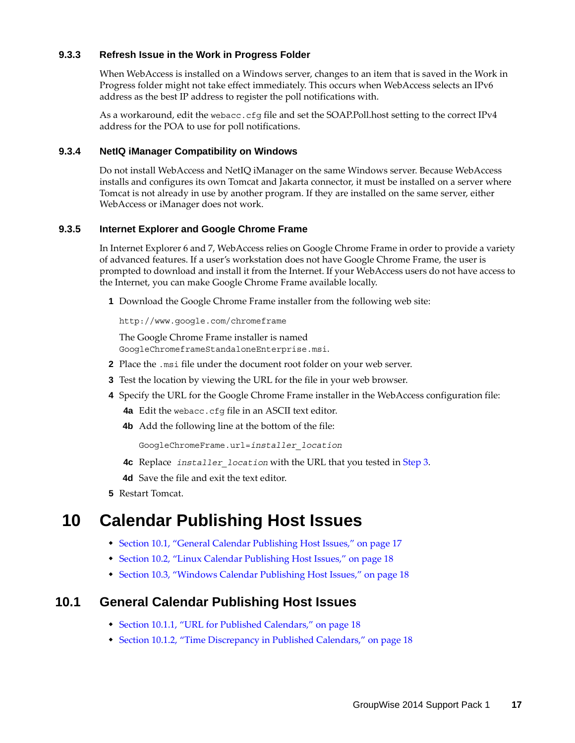#### <span id="page-16-0"></span>**9.3.3 Refresh Issue in the Work in Progress Folder**

When WebAccess is installed on a Windows server, changes to an item that is saved in the Work in Progress folder might not take effect immediately. This occurs when WebAccess selects an IPv6 address as the best IP address to register the poll notifications with.

As a workaround, edit the webacc.cfg file and set the SOAP.Poll.host setting to the correct IPv4 address for the POA to use for poll notifications.

#### <span id="page-16-1"></span>**9.3.4 NetIQ iManager Compatibility on Windows**

Do not install WebAccess and NetIQ iManager on the same Windows server. Because WebAccess installs and configures its own Tomcat and Jakarta connector, it must be installed on a server where Tomcat is not already in use by another program. If they are installed on the same server, either WebAccess or iManager does not work.

#### <span id="page-16-2"></span>**9.3.5 Internet Explorer and Google Chrome Frame**

In Internet Explorer 6 and 7, WebAccess relies on Google Chrome Frame in order to provide a variety of advanced features. If a user's workstation does not have Google Chrome Frame, the user is prompted to download and install it from the Internet. If your WebAccess users do not have access to the Internet, you can make Google Chrome Frame available locally.

**1** Download the Google Chrome Frame installer from the following web site:

http://www.google.com/chromeframe

The Google Chrome Frame installer is named GoogleChromeframeStandaloneEnterprise.msi.

- **2** Place the .msi file under the document root folder on your web server.
- <span id="page-16-3"></span>**3** Test the location by viewing the URL for the file in your web browser.
- **4** Specify the URL for the Google Chrome Frame installer in the WebAccess configuration file:
	- **4a** Edit the webacc.cfg file in an ASCII text editor.
	- **4b** Add the following line at the bottom of the file:

GoogleChromeFrame.url=*installer\_location*

- **4c** Replace *installer\_location* with the URL that you tested in [Step 3](#page-16-3).
- **4d** Save the file and exit the text editor.
- **5** Restart Tomcat.

# **10 Calendar Publishing Host Issues**

- [Section 10.1, "General Calendar Publishing Host Issues," on page 17](#page-16-4)
- [Section 10.2, "Linux Calendar Publishing Host Issues," on page 18](#page-17-0)
- [Section 10.3, "Windows Calendar Publishing Host Issues," on page 18](#page-17-1)

### <span id="page-16-4"></span>**10.1 General Calendar Publishing Host Issues**

- [Section 10.1.1, "URL for Published Calendars," on page 18](#page-17-2)
- [Section 10.1.2, "Time Discrepancy in Published Calendars," on page 18](#page-17-3)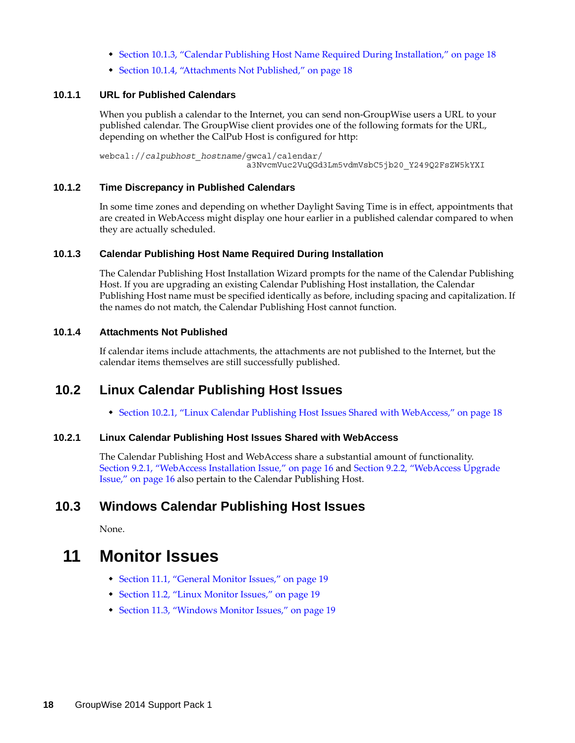- [Section 10.1.3, "Calendar Publishing Host Name Required During Installation," on page 18](#page-17-4)
- [Section 10.1.4, "Attachments Not Published," on page 18](#page-17-5)

#### <span id="page-17-2"></span>**10.1.1 URL for Published Calendars**

When you publish a calendar to the Internet, you can send non-GroupWise users a URL to your published calendar. The GroupWise client provides one of the following formats for the URL, depending on whether the CalPub Host is configured for http:

webcal://*calpubhost\_hostname*/gwcal/calendar/ a3NvcmVuc2VuQGd3Lm5vdmVsbC5jb20\_Y249Q2FsZW5kYXI

#### <span id="page-17-3"></span>**10.1.2 Time Discrepancy in Published Calendars**

In some time zones and depending on whether Daylight Saving Time is in effect, appointments that are created in WebAccess might display one hour earlier in a published calendar compared to when they are actually scheduled.

#### <span id="page-17-4"></span>**10.1.3 Calendar Publishing Host Name Required During Installation**

The Calendar Publishing Host Installation Wizard prompts for the name of the Calendar Publishing Host. If you are upgrading an existing Calendar Publishing Host installation, the Calendar Publishing Host name must be specified identically as before, including spacing and capitalization. If the names do not match, the Calendar Publishing Host cannot function.

#### <span id="page-17-5"></span>**10.1.4 Attachments Not Published**

If calendar items include attachments, the attachments are not published to the Internet, but the calendar items themselves are still successfully published.

### <span id="page-17-0"></span>**10.2 Linux Calendar Publishing Host Issues**

[Section 10.2.1, "Linux Calendar Publishing Host Issues Shared with WebAccess," on page 18](#page-17-6)

#### <span id="page-17-6"></span>**10.2.1 Linux Calendar Publishing Host Issues Shared with WebAccess**

The Calendar Publishing Host and WebAccess share a substantial amount of functionality. [Section 9.2.1, "WebAccess Installation Issue," on page 16](#page-15-1) and [Section 9.2.2, "WebAccess Upgrade](#page-15-2)  [Issue," on page 16](#page-15-2) also pertain to the Calendar Publishing Host.

## <span id="page-17-1"></span>**10.3 Windows Calendar Publishing Host Issues**

None.

# **11 Monitor Issues**

- [Section 11.1, "General Monitor Issues," on page 19](#page-18-0)
- [Section 11.2, "Linux Monitor Issues," on page 19](#page-18-1)
- [Section 11.3, "Windows Monitor Issues," on page 19](#page-18-2)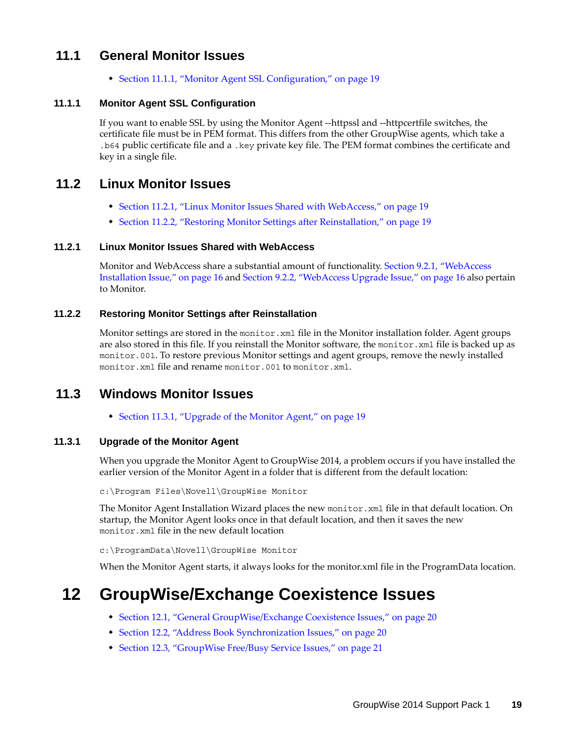## <span id="page-18-0"></span>**11.1 General Monitor Issues**

[Section 11.1.1, "Monitor Agent SSL Configuration," on page 19](#page-18-3)

#### <span id="page-18-3"></span>**11.1.1 Monitor Agent SSL Configuration**

If you want to enable SSL by using the Monitor Agent --httpssl and --httpcertfile switches, the certificate file must be in PEM format. This differs from the other GroupWise agents, which take a .b64 public certificate file and a .key private key file. The PEM format combines the certificate and key in a single file.

## <span id="page-18-1"></span>**11.2 Linux Monitor Issues**

- [Section 11.2.1, "Linux Monitor Issues Shared with WebAccess," on page 19](#page-18-4)
- [Section 11.2.2, "Restoring Monitor Settings after Reinstallation," on page 19](#page-18-5)

#### <span id="page-18-4"></span>**11.2.1 Linux Monitor Issues Shared with WebAccess**

Monitor and WebAccess share a substantial amount of functionality. [Section 9.2.1, "WebAccess](#page-15-1)  [Installation Issue," on page 16](#page-15-1) and [Section 9.2.2, "WebAccess Upgrade Issue," on page 16](#page-15-2) also pertain to Monitor.

#### <span id="page-18-5"></span>**11.2.2 Restoring Monitor Settings after Reinstallation**

Monitor settings are stored in the monitor.xml file in the Monitor installation folder. Agent groups are also stored in this file. If you reinstall the Monitor software, the monitor. xml file is backed up as monitor.001. To restore previous Monitor settings and agent groups, remove the newly installed monitor.xml file and rename monitor.001 to monitor.xml.

## <span id="page-18-2"></span>**11.3 Windows Monitor Issues**

[Section 11.3.1, "Upgrade of the Monitor Agent," on page 19](#page-18-6)

#### <span id="page-18-6"></span>**11.3.1 Upgrade of the Monitor Agent**

When you upgrade the Monitor Agent to GroupWise 2014, a problem occurs if you have installed the earlier version of the Monitor Agent in a folder that is different from the default location:

c:\Program Files\Novell\GroupWise Monitor

The Monitor Agent Installation Wizard places the new monitor.xml file in that default location. On startup, the Monitor Agent looks once in that default location, and then it saves the new monitor.xml file in the new default location

c:\ProgramData\Novell\GroupWise Monitor

When the Monitor Agent starts, it always looks for the monitor.xml file in the ProgramData location.

# **12 GroupWise/Exchange Coexistence Issues**

- [Section 12.1, "General GroupWise/Exchange Coexistence Issues," on page 20](#page-19-0)
- [Section 12.2, "Address Book Synchronization Issues," on page 20](#page-19-1)
- [Section 12.3, "GroupWise Free/Busy Service Issues," on page 21](#page-20-0)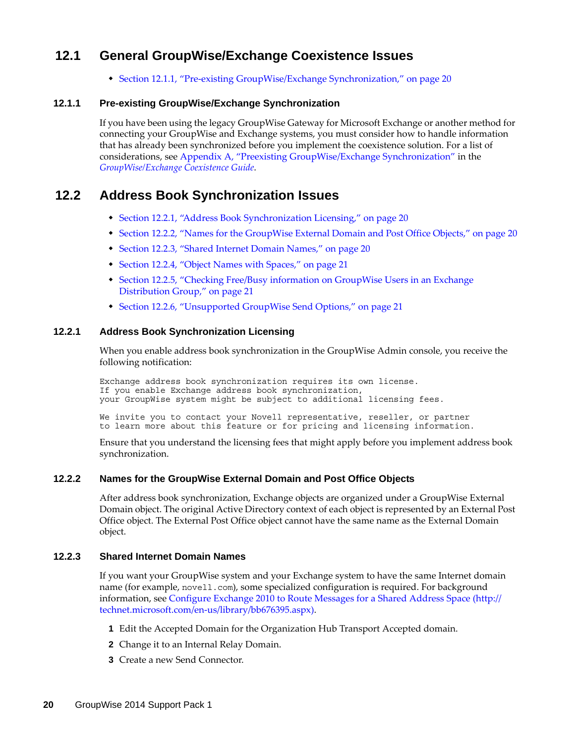# <span id="page-19-0"></span>**12.1 General GroupWise/Exchange Coexistence Issues**

[Section 12.1.1, "Pre-existing GroupWise/Exchange Synchronization," on page 20](#page-19-2)

#### <span id="page-19-2"></span>**12.1.1 Pre-existing GroupWise/Exchange Synchronization**

If you have been using the legacy GroupWise Gateway for Microsoft Exchange or another method for connecting your GroupWise and Exchange systems, you must consider how to handle information that has already been synchronized before you implement the coexistence solution. For a list of considerations, see Appendix A, ["Preexisting GroupWise/Exchange Synchronization"](https://www.novell.com/documentation/groupwise2014/gw2014_guide_exchcoexist/data/coex_preexist.html) in the *[GroupWise/Exchange Coexistence Guide](https://www.novell.com/documentation/groupwise2014/gw2014_guide_exchcoexist/data/coex_front.html)*.

# <span id="page-19-1"></span>**12.2 Address Book Synchronization Issues**

- [Section 12.2.1, "Address Book Synchronization Licensing," on page 20](#page-19-3)
- [Section 12.2.2, "Names for the GroupWise External Domain and Post Office Objects," on page 20](#page-19-4)
- [Section 12.2.3, "Shared Internet Domain Names," on page 20](#page-19-5)
- [Section 12.2.4, "Object Names with Spaces," on page 21](#page-20-1)
- [Section 12.2.5, "Checking Free/Busy information on GroupWise Users in an Exchange](#page-20-2)  [Distribution Group," on page 21](#page-20-2)
- [Section 12.2.6, "Unsupported GroupWise Send Options," on page 21](#page-20-3)

#### <span id="page-19-3"></span>**12.2.1 Address Book Synchronization Licensing**

When you enable address book synchronization in the GroupWise Admin console, you receive the following notification:

Exchange address book synchronization requires its own license. If you enable Exchange address book synchronization, your GroupWise system might be subject to additional licensing fees.

We invite you to contact your Novell representative, reseller, or partner to learn more about this feature or for pricing and licensing information.

Ensure that you understand the licensing fees that might apply before you implement address book synchronization.

#### <span id="page-19-4"></span>**12.2.2 Names for the GroupWise External Domain and Post Office Objects**

After address book synchronization, Exchange objects are organized under a GroupWise External Domain object. The original Active Directory context of each object is represented by an External Post Office object. The External Post Office object cannot have the same name as the External Domain object.

#### <span id="page-19-5"></span>**12.2.3 Shared Internet Domain Names**

If you want your GroupWise system and your Exchange system to have the same Internet domain name (for example, nove11.com), some specialized configuration is required. For background information, see [Configure Exchange 2010 to Route Messages for a Shared Address Space](http://technet.microsoft.com/en-us/library/bb676395.aspx) (http:// technet.microsoft.com/en-us/library/bb676395.aspx).

- **1** Edit the Accepted Domain for the Organization Hub Transport Accepted domain.
- **2** Change it to an Internal Relay Domain.
- **3** Create a new Send Connector.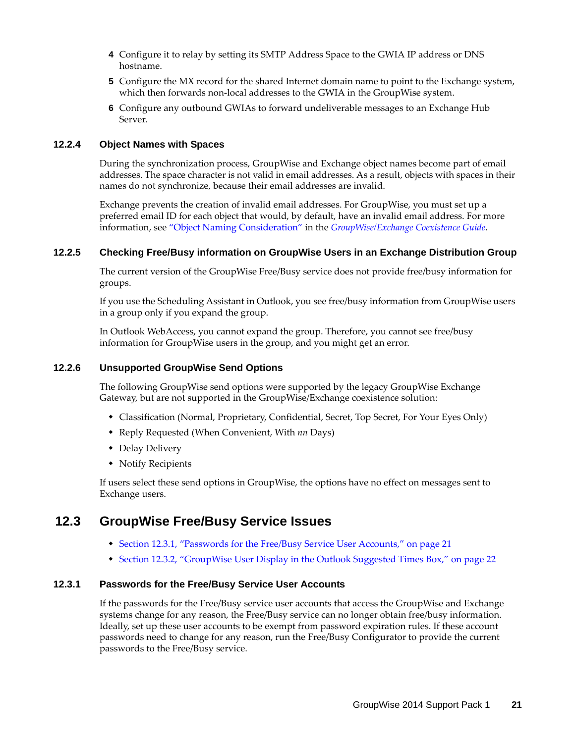- **4** Configure it to relay by setting its SMTP Address Space to the GWIA IP address or DNS hostname.
- **5** Configure the MX record for the shared Internet domain name to point to the Exchange system, which then forwards non-local addresses to the GWIA in the GroupWise system.
- **6** Configure any outbound GWIAs to forward undeliverable messages to an Exchange Hub Server.

#### <span id="page-20-1"></span>**12.2.4 Object Names with Spaces**

During the synchronization process, GroupWise and Exchange object names become part of email addresses. The space character is not valid in email addresses. As a result, objects with spaces in their names do not synchronize, because their email addresses are invalid.

Exchange prevents the creation of invalid email addresses. For GroupWise, you must set up a preferred email ID for each object that would, by default, have an invalid email address. For more information, see "[Object Naming Consideration](https://www.novell.com/documentation/groupwise2014/gw2014_guide_exchcoexist/data/coex_addrbksync_functionality.html#b12kt35i)" in the *[GroupWise/Exchange Coexistence Guide](https://www.novell.com/documentation/groupwise2014/gw2014_guide_exchcoexist/data/coex_front.html)*.

#### <span id="page-20-2"></span>**12.2.5 Checking Free/Busy information on GroupWise Users in an Exchange Distribution Group**

The current version of the GroupWise Free/Busy service does not provide free/busy information for groups.

If you use the Scheduling Assistant in Outlook, you see free/busy information from GroupWise users in a group only if you expand the group.

In Outlook WebAccess, you cannot expand the group. Therefore, you cannot see free/busy information for GroupWise users in the group, and you might get an error.

#### <span id="page-20-3"></span>**12.2.6 Unsupported GroupWise Send Options**

The following GroupWise send options were supported by the legacy GroupWise Exchange Gateway, but are not supported in the GroupWise/Exchange coexistence solution:

- Classification (Normal, Proprietary, Confidential, Secret, Top Secret, For Your Eyes Only)
- Reply Requested (When Convenient, With *nn* Days)
- Delay Delivery
- Notify Recipients

If users select these send options in GroupWise, the options have no effect on messages sent to Exchange users.

## <span id="page-20-0"></span>**12.3 GroupWise Free/Busy Service Issues**

- [Section 12.3.1, "Passwords for the Free/Busy Service User Accounts," on page 21](#page-20-4)
- [Section 12.3.2, "GroupWise User Display in the Outlook Suggested Times Box," on page 22](#page-21-0)

#### <span id="page-20-4"></span>**12.3.1 Passwords for the Free/Busy Service User Accounts**

If the passwords for the Free/Busy service user accounts that access the GroupWise and Exchange systems change for any reason, the Free/Busy service can no longer obtain free/busy information. Ideally, set up these user accounts to be exempt from password expiration rules. If these account passwords need to change for any reason, run the Free/Busy Configurator to provide the current passwords to the Free/Busy service.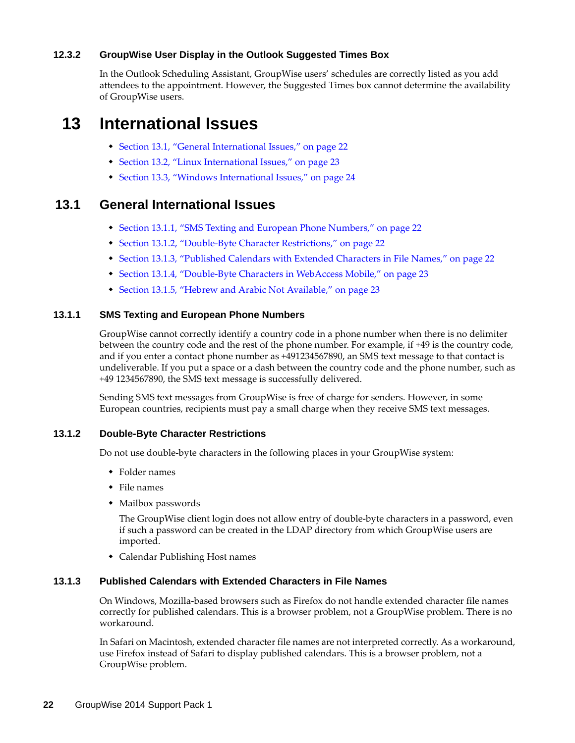#### <span id="page-21-0"></span>**12.3.2 GroupWise User Display in the Outlook Suggested Times Box**

In the Outlook Scheduling Assistant, GroupWise users' schedules are correctly listed as you add attendees to the appointment. However, the Suggested Times box cannot determine the availability of GroupWise users.

# **13 International Issues**

- [Section 13.1, "General International Issues," on page 22](#page-21-1)
- [Section 13.2, "Linux International Issues," on page 23](#page-22-0)
- [Section 13.3, "Windows International Issues," on page 24](#page-23-0)

## <span id="page-21-1"></span>**13.1 General International Issues**

- [Section 13.1.1, "SMS Texting and European Phone Numbers," on page 22](#page-21-2)
- [Section 13.1.2, "Double-Byte Character Restrictions," on page 22](#page-21-3)
- [Section 13.1.3, "Published Calendars with Extended Characters in File Names," on page 22](#page-21-4)
- [Section 13.1.4, "Double-Byte Characters in WebAccess Mobile," on page 23](#page-22-1)
- [Section 13.1.5, "Hebrew and Arabic Not Available," on page 23](#page-22-2)

#### <span id="page-21-2"></span>**13.1.1 SMS Texting and European Phone Numbers**

GroupWise cannot correctly identify a country code in a phone number when there is no delimiter between the country code and the rest of the phone number. For example, if +49 is the country code, and if you enter a contact phone number as +491234567890, an SMS text message to that contact is undeliverable. If you put a space or a dash between the country code and the phone number, such as +49 1234567890, the SMS text message is successfully delivered.

Sending SMS text messages from GroupWise is free of charge for senders. However, in some European countries, recipients must pay a small charge when they receive SMS text messages.

#### <span id="page-21-3"></span>**13.1.2 Double-Byte Character Restrictions**

Do not use double-byte characters in the following places in your GroupWise system:

- ◆ Folder names
- $\bullet$  File names
- Mailbox passwords

The GroupWise client login does not allow entry of double-byte characters in a password, even if such a password can be created in the LDAP directory from which GroupWise users are imported.

Calendar Publishing Host names

#### <span id="page-21-4"></span>**13.1.3 Published Calendars with Extended Characters in File Names**

On Windows, Mozilla-based browsers such as Firefox do not handle extended character file names correctly for published calendars. This is a browser problem, not a GroupWise problem. There is no workaround.

In Safari on Macintosh, extended character file names are not interpreted correctly. As a workaround, use Firefox instead of Safari to display published calendars. This is a browser problem, not a GroupWise problem.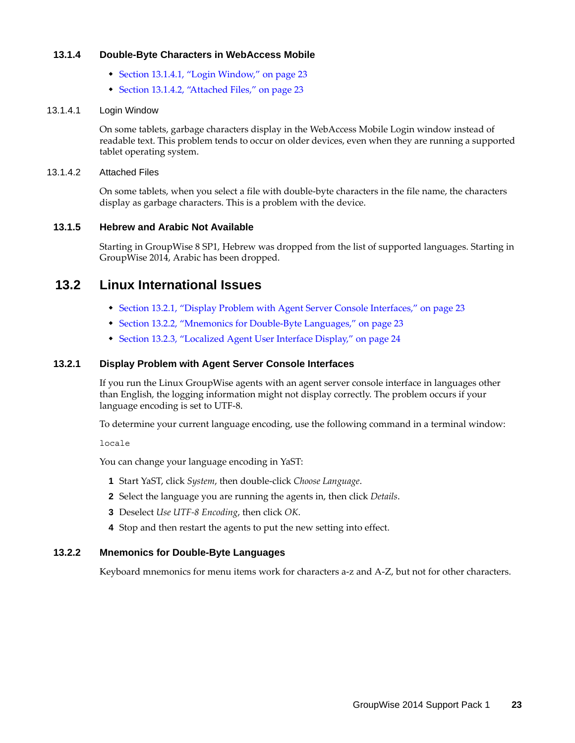#### <span id="page-22-1"></span>**13.1.4 Double-Byte Characters in WebAccess Mobile**

- [Section 13.1.4.1, "Login Window," on page 23](#page-22-3)
- [Section 13.1.4.2, "Attached Files," on page 23](#page-22-4)

#### <span id="page-22-3"></span>13.1.4.1 Login Window

On some tablets, garbage characters display in the WebAccess Mobile Login window instead of readable text. This problem tends to occur on older devices, even when they are running a supported tablet operating system.

#### <span id="page-22-4"></span>13.1.4.2 Attached Files

On some tablets, when you select a file with double-byte characters in the file name, the characters display as garbage characters. This is a problem with the device.

#### <span id="page-22-2"></span>**13.1.5 Hebrew and Arabic Not Available**

Starting in GroupWise 8 SP1, Hebrew was dropped from the list of supported languages. Starting in GroupWise 2014, Arabic has been dropped.

# <span id="page-22-0"></span>**13.2 Linux International Issues**

- [Section 13.2.1, "Display Problem with Agent Server Console Interfaces," on page 23](#page-22-5)
- [Section 13.2.2, "Mnemonics for Double-Byte Languages," on page 23](#page-22-6)
- [Section 13.2.3, "Localized Agent User Interface Display," on page 24](#page-23-1)

#### <span id="page-22-5"></span>**13.2.1 Display Problem with Agent Server Console Interfaces**

If you run the Linux GroupWise agents with an agent server console interface in languages other than English, the logging information might not display correctly. The problem occurs if your language encoding is set to UTF-8.

To determine your current language encoding, use the following command in a terminal window:

locale

You can change your language encoding in YaST:

- **1** Start YaST, click *System*, then double-click *Choose Language*.
- **2** Select the language you are running the agents in, then click *Details*.
- **3** Deselect *Use UTF-8 Encoding*, then click *OK*.
- **4** Stop and then restart the agents to put the new setting into effect.

### <span id="page-22-6"></span>**13.2.2 Mnemonics for Double-Byte Languages**

Keyboard mnemonics for menu items work for characters a-z and A-Z, but not for other characters.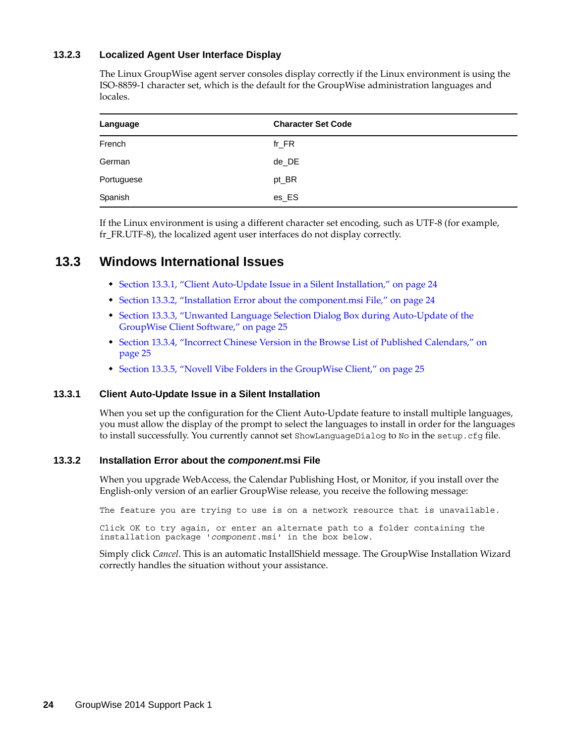#### <span id="page-23-1"></span>**13.2.3 Localized Agent User Interface Display**

The Linux GroupWise agent server consoles display correctly if the Linux environment is using the ISO-8859-1 character set, which is the default for the GroupWise administration languages and locales.

| Language   | <b>Character Set Code</b> |
|------------|---------------------------|
| French     | $fr_F$ R                  |
| German     | de DE                     |
| Portuguese | pt_BR                     |
| Spanish    | es_ES                     |

If the Linux environment is using a different character set encoding, such as UTF-8 (for example, fr\_FR.UTF-8), the localized agent user interfaces do not display correctly.

## <span id="page-23-0"></span>**13.3 Windows International Issues**

- [Section 13.3.1, "Client Auto-Update Issue in a Silent Installation," on page 24](#page-23-2)
- [Section 13.3.2, "Installation Error about the component.msi File," on page 24](#page-23-3)
- [Section 13.3.3, "Unwanted Language Selection Dialog Box during Auto-Update of the](#page-24-0)  [GroupWise Client Software," on page 25](#page-24-0)
- [Section 13.3.4, "Incorrect Chinese Version in the Browse List of Published Calendars," on](#page-24-1)  [page 25](#page-24-1)
- [Section 13.3.5, "Novell Vibe Folders in the GroupWise Client," on page 25](#page-24-2)

#### <span id="page-23-2"></span>**13.3.1 Client Auto-Update Issue in a Silent Installation**

When you set up the configuration for the Client Auto-Update feature to install multiple languages, you must allow the display of the prompt to select the languages to install in order for the languages to install successfully. You currently cannot set ShowLanguageDialog to No in the setup.cfg file.

#### <span id="page-23-3"></span>**13.3.2 Installation Error about the** *component***.msi File**

When you upgrade WebAccess, the Calendar Publishing Host, or Monitor, if you install over the English-only version of an earlier GroupWise release, you receive the following message:

The feature you are trying to use is on a network resource that is unavailable.

Click OK to try again, or enter an alternate path to a folder containing the installation package '*component*.msi' in the box below.

Simply click *Cancel*. This is an automatic InstallShield message. The GroupWise Installation Wizard correctly handles the situation without your assistance.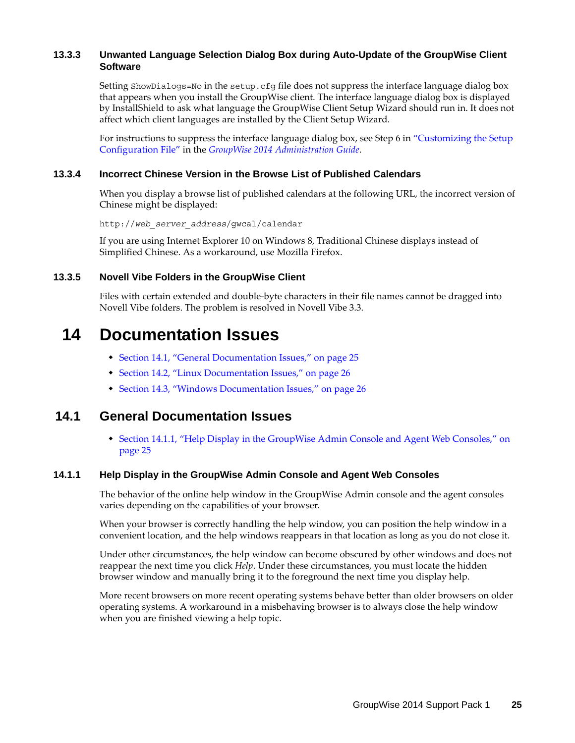#### <span id="page-24-0"></span>**13.3.3 Unwanted Language Selection Dialog Box during Auto-Update of the GroupWise Client Software**

Setting ShowDialogs=No in the setup.cfg file does not suppress the interface language dialog box that appears when you install the GroupWise client. The interface language dialog box is displayed by InstallShield to ask what language the GroupWise Client Setup Wizard should run in. It does not affect which client languages are installed by the Client Setup Wizard.

For instructions to suppress the interface language dialog box, see Step 6 in ["Customizing the Setup](https://www.novell.com/documentation/groupwise2014/gw2014_guide_admin/data/adm_cli_dist_client_autoupdate.html#a2wbps7)  [Configuration File](https://www.novell.com/documentation/groupwise2014/gw2014_guide_admin/data/adm_cli_dist_client_autoupdate.html#a2wbps7)" in the *[GroupWise 2014 Administration Guide](https://www.novell.com/documentation/groupwise2014/gw2014_guide_admin/data/admin_front.html)*.

#### <span id="page-24-1"></span>**13.3.4 Incorrect Chinese Version in the Browse List of Published Calendars**

When you display a browse list of published calendars at the following URL, the incorrect version of Chinese might be displayed:

http://*web\_server\_address*/gwcal/calendar

If you are using Internet Explorer 10 on Windows 8, Traditional Chinese displays instead of Simplified Chinese. As a workaround, use Mozilla Firefox.

#### <span id="page-24-2"></span>**13.3.5 Novell Vibe Folders in the GroupWise Client**

Files with certain extended and double-byte characters in their file names cannot be dragged into Novell Vibe folders. The problem is resolved in Novell Vibe 3.3.

# **14 Documentation Issues**

- [Section 14.1, "General Documentation Issues," on page 25](#page-24-3)
- [Section 14.2, "Linux Documentation Issues," on page 26](#page-25-1)
- [Section 14.3, "Windows Documentation Issues," on page 26](#page-25-2)

### <span id="page-24-3"></span>**14.1 General Documentation Issues**

 [Section 14.1.1, "Help Display in the GroupWise Admin Console and Agent Web Consoles," on](#page-24-4)  [page 25](#page-24-4)

#### <span id="page-24-4"></span>**14.1.1 Help Display in the GroupWise Admin Console and Agent Web Consoles**

The behavior of the online help window in the GroupWise Admin console and the agent consoles varies depending on the capabilities of your browser.

When your browser is correctly handling the help window, you can position the help window in a convenient location, and the help windows reappears in that location as long as you do not close it.

Under other circumstances, the help window can become obscured by other windows and does not reappear the next time you click *Help*. Under these circumstances, you must locate the hidden browser window and manually bring it to the foreground the next time you display help.

More recent browsers on more recent operating systems behave better than older browsers on older operating systems. A workaround in a misbehaving browser is to always close the help window when you are finished viewing a help topic.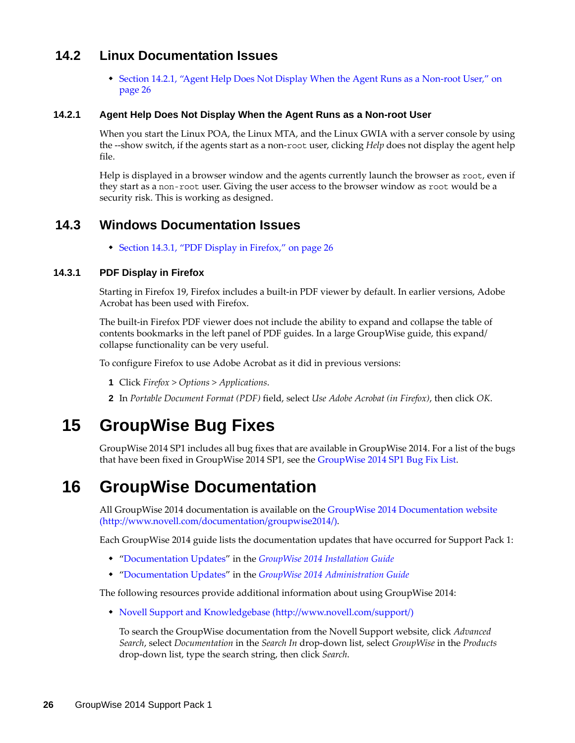# <span id="page-25-1"></span>**14.2 Linux Documentation Issues**

 [Section 14.2.1, "Agent Help Does Not Display When the Agent Runs as a Non-root User," on](#page-25-3)  [page 26](#page-25-3)

#### <span id="page-25-3"></span>**14.2.1 Agent Help Does Not Display When the Agent Runs as a Non-root User**

When you start the Linux POA, the Linux MTA, and the Linux GWIA with a server console by using the --show switch, if the agents start as a non-root user, clicking *Help* does not display the agent help file.

Help is displayed in a browser window and the agents currently launch the browser as root, even if they start as a non-root user. Giving the user access to the browser window as root would be a security risk. This is working as designed.

## <span id="page-25-2"></span>**14.3 Windows Documentation Issues**

[Section 14.3.1, "PDF Display in Firefox," on page 26](#page-25-4)

#### <span id="page-25-4"></span>**14.3.1 PDF Display in Firefox**

Starting in Firefox 19, Firefox includes a built-in PDF viewer by default. In earlier versions, Adobe Acrobat has been used with Firefox.

The built-in Firefox PDF viewer does not include the ability to expand and collapse the table of contents bookmarks in the left panel of PDF guides. In a large GroupWise guide, this expand/ collapse functionality can be very useful.

To configure Firefox to use Adobe Acrobat as it did in previous versions:

- **1** Click *Firefox > Options > Applications*.
- **2** In *Portable Document Format (PDF)* field, select *Use Adobe Acrobat (in Firefox)*, then click *OK*.

# **15 GroupWise Bug Fixes**

GroupWise 2014 SP1 includes all bug fixes that are available in GroupWise 2014. For a list of the bugs that have been fixed in GroupWise 2014 SP1, see the [GroupWise 2014 SP1 Bug Fix List.](https://www.novell.com/documentation/groupwise2014/gw2014sp1_bugfixlist/data/gw2014sp1_bugfixlist.html)

# <span id="page-25-0"></span>**16 GroupWise Documentation**

All GroupWise 2014 documentation is available on the [GroupWise 2014 Documentation website](http://www.novell.com/documentation/groupwise2014/)  (http://www.novell.com/documentation/groupwise2014/).

Each GroupWise 2014 guide lists the documentation updates that have occurred for Support Pack 1:

- "Documentation Updates" in the *GroupWise 2014 Installation Guide*
- "Documentation Updates" in the *GroupWise 2014 Administration Guide*

The following resources provide additional information about using GroupWise 2014:

[Novell Support and Knowledgebase](http://www.novell.com/support/) (http://www.novell.com/support/)

To search the GroupWise documentation from the Novell Support website, click *Advanced Search*, select *Documentation* in the *Search In* drop-down list, select *GroupWise* in the *Products* drop-down list, type the search string, then click *Search*.